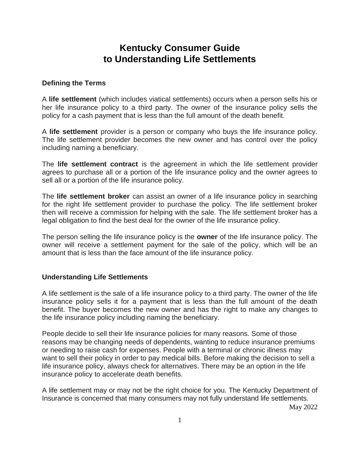# **Kentucky Consumer Guide to Understanding Life Settlements**

#### **Defining the Terms**

A **life settlement** (which includes viatical settlements) occurs when a person sells his or her life insurance policy to a third party. The owner of the insurance policy sells the policy for a cash payment that is less than the full amount of the death benefit.

A **life settlement** provider is a person or company who buys the life insurance policy. The life settlement provider becomes the new owner and has control over the policy including naming a beneficiary.

The **life settlement contract** is the agreement in which the life settlement provider agrees to purchase all or a portion of the life insurance policy and the owner agrees to sell all or a portion of the life insurance policy.

The **life settlement broker** can assist an owner of a life insurance policy in searching for the right life settlement provider to purchase the policy. The life settlement broker then will receive a commission for helping with the sale. The life settlement broker has a legal obligation to find the best deal for the owner of the life insurance policy.

The person selling the life insurance policy is the **owner** of the life insurance policy. The owner will receive a settlement payment for the sale of the policy, which will be an amount that is less than the face amount of the life insurance policy.

#### **Understanding Life Settlements**

A life settlement is the sale of a life insurance policy to a third party. The owner of the life insurance policy sells it for a payment that is less than the full amount of the death benefit. The buyer becomes the new owner and has the right to make any changes to the life insurance policy including naming the beneficiary.

People decide to sell their life insurance policies for many reasons. Some of those reasons may be changing needs of dependents, wanting to reduce insurance premiums or needing to raise cash for expenses. People with a terminal or chronic illness may want to sell their policy in order to pay medical bills. Before making the decision to sell a life insurance policy, always check for alternatives. There may be an option in the life insurance policy to accelerate death benefits.

A life settlement may or may not be the right choice for you. The Kentucky Department of Insurance is concerned that many consumers may not fully understand life settlements.

May 2022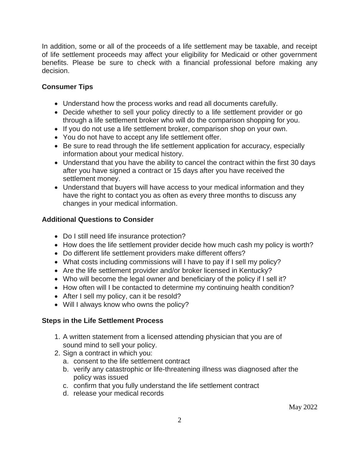In addition, some or all of the proceeds of a life settlement may be taxable, and receipt of life settlement proceeds may affect your eligibility for Medicaid or other government benefits. Please be sure to check with a financial professional before making any decision.

## **Consumer Tips**

- Understand how the process works and read all documents carefully.
- Decide whether to sell your policy directly to a life settlement provider or go through a life settlement broker who will do the comparison shopping for you.
- If you do not use a life settlement broker, comparison shop on your own.
- You do not have to accept any life settlement offer.
- Be sure to read through the life settlement application for accuracy, especially information about your medical history.
- Understand that you have the ability to cancel the contract within the first 30 days after you have signed a contract or 15 days after you have received the settlement money.
- Understand that buyers will have access to your medical information and they have the right to contact you as often as every three months to discuss any changes in your medical information.

# **Additional Questions to Consider**

- Do I still need life insurance protection?
- How does the life settlement provider decide how much cash my policy is worth?
- Do different life settlement providers make different offers?
- What costs including commissions will I have to pay if I sell my policy?
- Are the life settlement provider and/or broker licensed in Kentucky?
- Who will become the legal owner and beneficiary of the policy if I sell it?
- How often will I be contacted to determine my continuing health condition?
- After I sell my policy, can it be resold?
- Will I always know who owns the policy?

### **Steps in the Life Settlement Process**

- 1. A written statement from a licensed attending physician that you are of sound mind to sell your policy.
- 2. Sign a contract in which you:
	- a. consent to the life settlement contract
	- b. verify any catastrophic or life-threatening illness was diagnosed after the policy was issued
	- c. confirm that you fully understand the life settlement contract
	- d. release your medical records